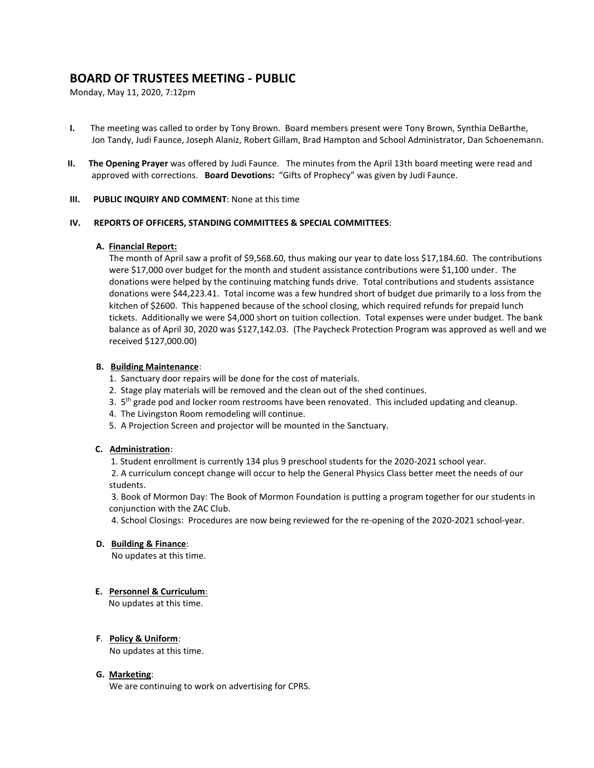# **BOARD OF TRUSTEES MEETING - PUBLIC**

Monday, May 11, 2020, 7:12pm

- **I.** The meeting was called to order by Tony Brown. Board members present were Tony Brown, Synthia DeBarthe, Jon Tandy, Judi Faunce, Joseph Alaniz, Robert Gillam, Brad Hampton and School Administrator, Dan Schoenemann.
- **II. The Opening Prayer** was offered by Judi Faunce. The minutes from the April 13th board meeting were read and approved with corrections. **Board Devotions:** "Gifts of Prophecy" was given by Judi Faunce.

### **III. PUBLIC INQUIRY AND COMMENT**: None at this time

### **IV. REPORTS OF OFFICERS, STANDING COMMITTEES & SPECIAL COMMITTEES**:

### **A. Financial Report:**

The month of April saw a profit of \$9,568.60, thus making our year to date loss \$17,184.60. The contributions were \$17,000 over budget for the month and student assistance contributions were \$1,100 under. The donations were helped by the continuing matching funds drive. Total contributions and students assistance donations were \$44,223.41. Total income was a few hundred short of budget due primarily to a loss from the kitchen of \$2600. This happened because of the school closing, which required refunds for prepaid lunch tickets. Additionally we were \$4,000 short on tuition collection. Total expenses were under budget. The bank balance as of April 30, 2020 was \$127,142.03. (The Paycheck Protection Program was approved as well and we received \$127,000.00)

# **B. Building Maintenance**:

- 1. Sanctuary door repairs will be done for the cost of materials.
- 2. Stage play materials will be removed and the clean out of the shed continues.
- 3. 5<sup>th</sup> grade pod and locker room restrooms have been renovated. This included updating and cleanup.
- 4. The Livingston Room remodeling will continue.
- 5. A Projection Screen and projector will be mounted in the Sanctuary.

# **C. Administration**:

1. Student enrollment is currently 134 plus 9 preschool students for the 2020-2021 school year.

2. A curriculum concept change will occur to help the General Physics Class better meet the needs of our students.

3. Book of Mormon Day: The Book of Mormon Foundation is putting a program together for our students in conjunction with the ZAC Club.

4. School Closings: Procedures are now being reviewed for the re-opening of the 2020-2021 school-year.

# **D. Building & Finance**:

No updates at this time.

# **E. Personnel & Curriculum**:

No updates at this time.

# **F**. **Policy & Uniform**:

No updates at this time.

# **G. Marketing**:

We are continuing to work on advertising for CPRS.